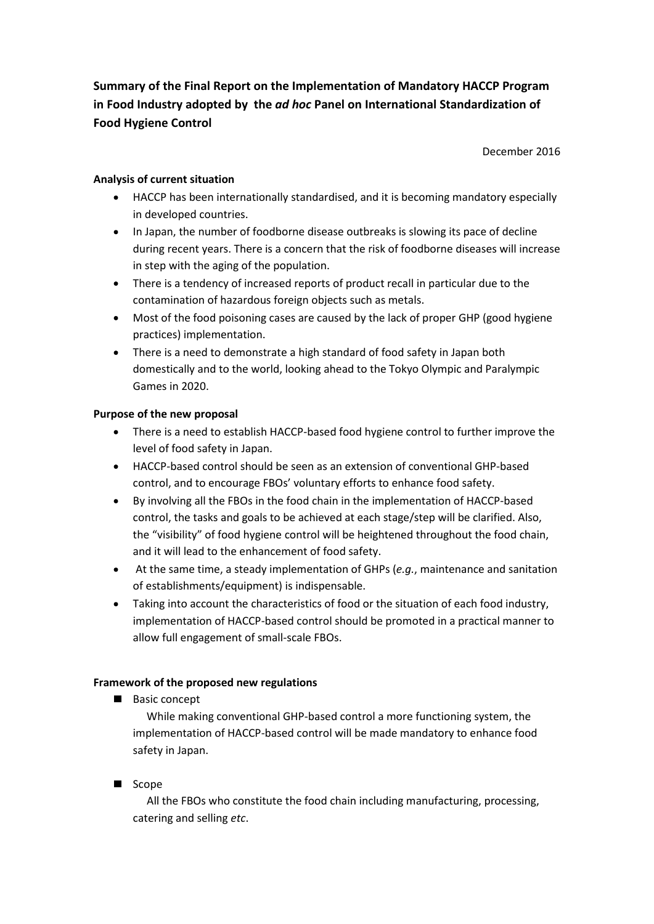**Summary of the Final Report on the Implementation of Mandatory HACCP Program in Food Industry adopted by the** *ad hoc* **Panel on International Standardization of Food Hygiene Control**

December 2016

## **Analysis of current situation**

- HACCP has been internationally standardised, and it is becoming mandatory especially in developed countries.
- In Japan, the number of foodborne disease outbreaks is slowing its pace of decline during recent years. There is a concern that the risk of foodborne diseases will increase in step with the aging of the population.
- There is a tendency of increased reports of product recall in particular due to the contamination of hazardous foreign objects such as metals.
- Most of the food poisoning cases are caused by the lack of proper GHP (good hygiene practices) implementation.
- There is a need to demonstrate a high standard of food safety in Japan both domestically and to the world, looking ahead to the Tokyo Olympic and Paralympic Games in 2020.

## **Purpose of the new proposal**

- There is a need to establish HACCP-based food hygiene control to further improve the level of food safety in Japan.
- HACCP-based control should be seen as an extension of conventional GHP-based control, and to encourage FBOs' voluntary efforts to enhance food safety.
- By involving all the FBOs in the food chain in the implementation of HACCP-based control, the tasks and goals to be achieved at each stage/step will be clarified. Also, the "visibility" of food hygiene control will be heightened throughout the food chain, and it will lead to the enhancement of food safety.
- At the same time, a steady implementation of GHPs (*e.g.*, maintenance and sanitation of establishments/equipment) is indispensable.
- Taking into account the characteristics of food or the situation of each food industry, implementation of HACCP-based control should be promoted in a practical manner to allow full engagement of small-scale FBOs.

## **Framework of the proposed new regulations**

Basic concept

While making conventional GHP-based control a more functioning system, the implementation of HACCP-based control will be made mandatory to enhance food safety in Japan.

■ Scope

All the FBOs who constitute the food chain including manufacturing, processing, catering and selling *etc*.